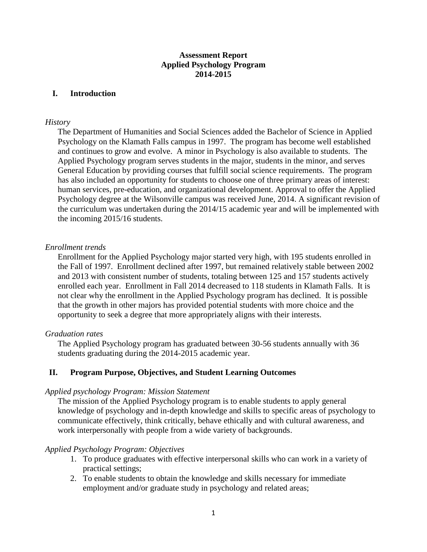## **Assessment Report Applied Psychology Program 2014-2015**

## **I. Introduction**

### *History*

The Department of Humanities and Social Sciences added the Bachelor of Science in Applied Psychology on the Klamath Falls campus in 1997. The program has become well established and continues to grow and evolve. A minor in Psychology is also available to students. The Applied Psychology program serves students in the major, students in the minor, and serves General Education by providing courses that fulfill social science requirements. The program has also included an opportunity for students to choose one of three primary areas of interest: human services, pre-education, and organizational development. Approval to offer the Applied Psychology degree at the Wilsonville campus was received June, 2014. A significant revision of the curriculum was undertaken during the 2014/15 academic year and will be implemented with the incoming 2015/16 students.

## *Enrollment trends*

Enrollment for the Applied Psychology major started very high, with 195 students enrolled in the Fall of 1997. Enrollment declined after 1997, but remained relatively stable between 2002 and 2013 with consistent number of students, totaling between 125 and 157 students actively enrolled each year. Enrollment in Fall 2014 decreased to 118 students in Klamath Falls. It is not clear why the enrollment in the Applied Psychology program has declined. It is possible that the growth in other majors has provided potential students with more choice and the opportunity to seek a degree that more appropriately aligns with their interests.

## *Graduation rates*

The Applied Psychology program has graduated between 30-56 students annually with 36 students graduating during the 2014-2015 academic year.

## **II. Program Purpose, Objectives, and Student Learning Outcomes**

#### *Applied psychology Program: Mission Statement*

The mission of the Applied Psychology program is to enable students to apply general knowledge of psychology and in-depth knowledge and skills to specific areas of psychology to communicate effectively, think critically, behave ethically and with cultural awareness, and work interpersonally with people from a wide variety of backgrounds.

#### *Applied Psychology Program: Objectives*

- 1. To produce graduates with effective interpersonal skills who can work in a variety of practical settings;
- 2. To enable students to obtain the knowledge and skills necessary for immediate employment and/or graduate study in psychology and related areas;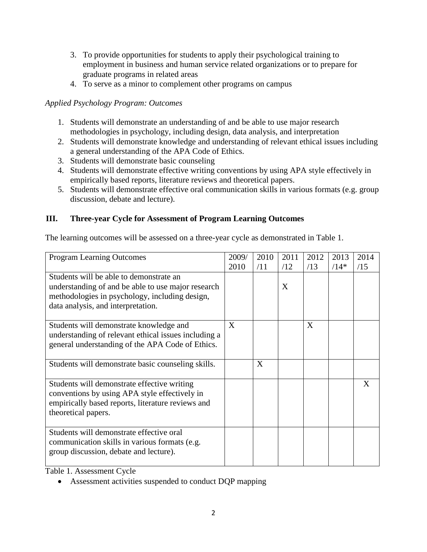- 3. To provide opportunities for students to apply their psychological training to employment in business and human service related organizations or to prepare for graduate programs in related areas
- 4. To serve as a minor to complement other programs on campus

# *Applied Psychology Program: Outcomes*

- 1. Students will demonstrate an understanding of and be able to use major research methodologies in psychology, including design, data analysis, and interpretation
- 2. Students will demonstrate knowledge and understanding of relevant ethical issues including a general understanding of the APA Code of Ethics.
- 3. Students will demonstrate basic counseling
- 4. Students will demonstrate effective writing conventions by using APA style effectively in empirically based reports, literature reviews and theoretical papers.
- 5. Students will demonstrate effective oral communication skills in various formats (e.g. group discussion, debate and lecture).

# **III. Three-year Cycle for Assessment of Program Learning Outcomes**

The learning outcomes will be assessed on a three-year cycle as demonstrated in Table 1.

| <b>Program Learning Outcomes</b>                     | 2009/ | 2010 | 2011 | 2012 | 2013   | 2014 |
|------------------------------------------------------|-------|------|------|------|--------|------|
|                                                      | 2010  | /11  | /12  | /13  | $/14*$ | /15  |
| Students will be able to demonstrate an              |       |      |      |      |        |      |
| understanding of and be able to use major research   |       |      | X    |      |        |      |
| methodologies in psychology, including design,       |       |      |      |      |        |      |
| data analysis, and interpretation.                   |       |      |      |      |        |      |
|                                                      |       |      |      |      |        |      |
| Students will demonstrate knowledge and              | X     |      |      | X    |        |      |
| understanding of relevant ethical issues including a |       |      |      |      |        |      |
| general understanding of the APA Code of Ethics.     |       |      |      |      |        |      |
|                                                      |       |      |      |      |        |      |
| Students will demonstrate basic counseling skills.   |       | X    |      |      |        |      |
|                                                      |       |      |      |      |        |      |
| Students will demonstrate effective writing          |       |      |      |      |        | X    |
| conventions by using APA style effectively in        |       |      |      |      |        |      |
| empirically based reports, literature reviews and    |       |      |      |      |        |      |
| theoretical papers.                                  |       |      |      |      |        |      |
|                                                      |       |      |      |      |        |      |
| Students will demonstrate effective oral             |       |      |      |      |        |      |
| communication skills in various formats (e.g.        |       |      |      |      |        |      |
| group discussion, debate and lecture).               |       |      |      |      |        |      |
|                                                      |       |      |      |      |        |      |

Table 1. Assessment Cycle

Assessment activities suspended to conduct DQP mapping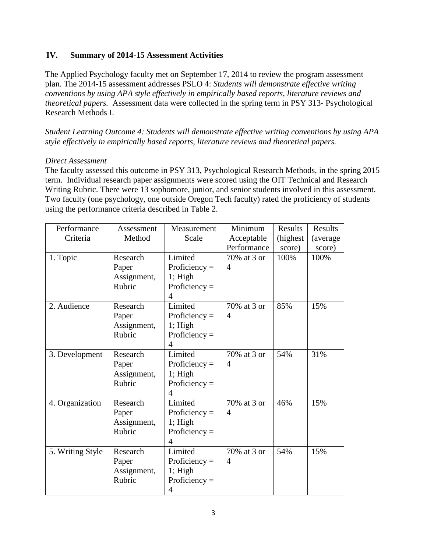## **IV. Summary of 2014-15 Assessment Activities**

The Applied Psychology faculty met on September 17, 2014 to review the program assessment plan. The 2014-15 assessment addresses PSLO 4: *Students will demonstrate effective writing conventions by using APA style effectively in empirically based reports, literature reviews and theoretical papers.* Assessment data were collected in the spring term in PSY 313- Psychological Research Methods I.

*Student Learning Outcome 4: Students will demonstrate effective writing conventions by using APA style effectively in empirically based reports, literature reviews and theoretical papers.*

## *Direct Assessment*

The faculty assessed this outcome in PSY 313, Psychological Research Methods, in the spring 2015 term. Individual research paper assignments were scored using the OIT Technical and Research Writing Rubric. There were 13 sophomore, junior, and senior students involved in this assessment. Two faculty (one psychology, one outside Oregon Tech faculty) rated the proficiency of students using the performance criteria described in Table 2.

| Performance      | Assessment  | Measurement     | Minimum        | <b>Results</b> | Results   |
|------------------|-------------|-----------------|----------------|----------------|-----------|
| Criteria         | Method      | Scale           | Acceptable     | (highest)      | (average) |
|                  |             |                 | Performance    | score)         | score)    |
| 1. Topic         | Research    | Limited         | 70% at 3 or    | 100%           | 100%      |
|                  | Paper       | Proficiency $=$ | $\overline{4}$ |                |           |
|                  | Assignment, | $1$ ; High      |                |                |           |
|                  | Rubric      | Proficiency $=$ |                |                |           |
|                  |             | $\overline{4}$  |                |                |           |
| 2. Audience      | Research    | Limited         | 70% at 3 or    | 85%            | 15%       |
|                  | Paper       | Proficiency $=$ | $\overline{4}$ |                |           |
|                  | Assignment, | $1$ ; High      |                |                |           |
|                  | Rubric      | Proficiency $=$ |                |                |           |
|                  |             | $\overline{4}$  |                |                |           |
| 3. Development   | Research    | Limited         | 70% at 3 or    | 54%            | 31%       |
|                  | Paper       | Proficiency $=$ | $\overline{4}$ |                |           |
|                  | Assignment, | $1$ ; High      |                |                |           |
|                  | Rubric      | Proficiency $=$ |                |                |           |
|                  |             | 4               |                |                |           |
| 4. Organization  | Research    | Limited         | 70% at 3 or    | 46%            | 15%       |
|                  | Paper       | Proficiency $=$ | $\overline{A}$ |                |           |
|                  | Assignment, | $1$ ; High      |                |                |           |
|                  | Rubric      | Proficiency $=$ |                |                |           |
|                  |             | $\overline{4}$  |                |                |           |
| 5. Writing Style | Research    | Limited         | 70% at 3 or    | 54%            | 15%       |
|                  | Paper       | Proficiency $=$ | $\overline{4}$ |                |           |
|                  | Assignment, | 1; High         |                |                |           |
|                  | Rubric      | Proficiency $=$ |                |                |           |
|                  |             | 4               |                |                |           |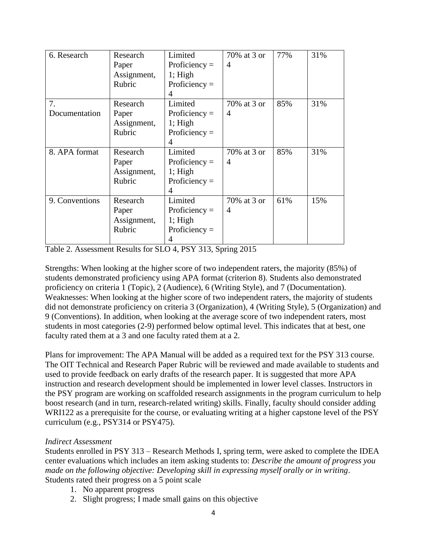| 6. Research    | Research    | Limited         | 70% at 3 or    | 77% | 31% |
|----------------|-------------|-----------------|----------------|-----|-----|
|                | Paper       | Proficiency $=$ | 4              |     |     |
|                | Assignment, | 1; High         |                |     |     |
|                | Rubric      | Proficiency $=$ |                |     |     |
|                |             | 4               |                |     |     |
| 7.             | Research    | Limited         | 70% at 3 or    | 85% | 31% |
| Documentation  | Paper       | Proficiency $=$ | 4              |     |     |
|                | Assignment, | 1; High         |                |     |     |
|                | Rubric      | Proficiency $=$ |                |     |     |
|                |             | 4               |                |     |     |
| 8. APA format  | Research    | Limited         | 70% at 3 or    | 85% | 31% |
|                | Paper       | Proficiency $=$ | $\overline{4}$ |     |     |
|                | Assignment, | $1$ ; High      |                |     |     |
|                | Rubric      | Proficiency $=$ |                |     |     |
|                |             | 4               |                |     |     |
| 9. Conventions | Research    | Limited         | 70% at 3 or    | 61% | 15% |
|                | Paper       | Proficiency $=$ | 4              |     |     |
|                | Assignment, | $1$ ; High      |                |     |     |
|                | Rubric      | Proficiency $=$ |                |     |     |
|                |             | 4               |                |     |     |

Table 2. Assessment Results for SLO 4, PSY 313, Spring 2015

Strengths: When looking at the higher score of two independent raters, the majority (85%) of students demonstrated proficiency using APA format (criterion 8). Students also demonstrated proficiency on criteria 1 (Topic), 2 (Audience), 6 (Writing Style), and 7 (Documentation). Weaknesses: When looking at the higher score of two independent raters, the majority of students did not demonstrate proficiency on criteria 3 (Organization), 4 (Writing Style), 5 (Organization) and 9 (Conventions). In addition, when looking at the average score of two independent raters, most students in most categories (2-9) performed below optimal level. This indicates that at best, one faculty rated them at a 3 and one faculty rated them at a 2.

Plans for improvement: The APA Manual will be added as a required text for the PSY 313 course. The OIT Technical and Research Paper Rubric will be reviewed and made available to students and used to provide feedback on early drafts of the research paper. It is suggested that more APA instruction and research development should be implemented in lower level classes. Instructors in the PSY program are working on scaffolded research assignments in the program curriculum to help boost research (and in turn, research-related writing) skills. Finally, faculty should consider adding WRI122 as a prerequisite for the course, or evaluating writing at a higher capstone level of the PSY curriculum (e.g., PSY314 or PSY475).

## *Indirect Assessment*

Students enrolled in PSY 313 – Research Methods I, spring term, were asked to complete the IDEA center evaluations which includes an item asking students to: *Describe the amount of progress you made on the following objective: Developing skill in expressing myself orally or in writing*. Students rated their progress on a 5 point scale

- 1. No apparent progress
- 2. Slight progress; I made small gains on this objective